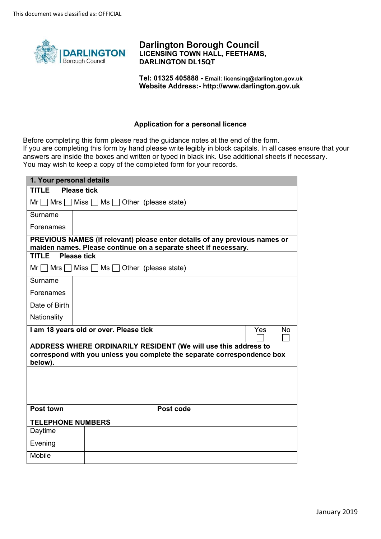

**Darlington Borough Council LICENSING TOWN HALL, FEETHAMS, DARLINGTON DL15QT** 

**Tel: 01325 405888 - Email: licensing@darlington.gov.uk Website Address:-<http://www.darlington.gov.uk>**

#### **Application for a personal licence**

Before completing this form please read the guidance notes at the end of the form. If you are completing this form by hand please write legibly in block capitals. In all cases ensure that your answers are inside the boxes and written or typed in black ink. Use additional sheets if necessary. You may wish to keep a copy of the completed form for your records.

| 1. Your personal details                                                                                                                             |                                                    |                                                                                                                                               |  |
|------------------------------------------------------------------------------------------------------------------------------------------------------|----------------------------------------------------|-----------------------------------------------------------------------------------------------------------------------------------------------|--|
| TITI FI<br><b>Please tick</b>                                                                                                                        |                                                    |                                                                                                                                               |  |
|                                                                                                                                                      | $Mr \tMrs \tMiss \tMss \tMss$ Other (please state) |                                                                                                                                               |  |
| Surname                                                                                                                                              |                                                    |                                                                                                                                               |  |
| Forenames                                                                                                                                            |                                                    |                                                                                                                                               |  |
|                                                                                                                                                      |                                                    | PREVIOUS NAMES (if relevant) please enter details of any previous names or<br>maiden names. Please continue on a separate sheet if necessary. |  |
| <b>TITLE</b> Please tick                                                                                                                             |                                                    |                                                                                                                                               |  |
|                                                                                                                                                      | $Mr \tMrs$ Miss $Mss \tMss$ Other (please state)   |                                                                                                                                               |  |
| Surname                                                                                                                                              |                                                    |                                                                                                                                               |  |
| Forenames                                                                                                                                            |                                                    |                                                                                                                                               |  |
| Date of Birth                                                                                                                                        |                                                    |                                                                                                                                               |  |
| Nationality                                                                                                                                          |                                                    |                                                                                                                                               |  |
| I am 18 years old or over. Please tick<br>Yes<br>No                                                                                                  |                                                    |                                                                                                                                               |  |
| ADDRESS WHERE ORDINARILY RESIDENT (We will use this address to<br>correspond with you unless you complete the separate correspondence box<br>below). |                                                    |                                                                                                                                               |  |
|                                                                                                                                                      |                                                    |                                                                                                                                               |  |
| Post town                                                                                                                                            |                                                    | Post code                                                                                                                                     |  |
| <b>TELEPHONE NUMBERS</b>                                                                                                                             |                                                    |                                                                                                                                               |  |
| Daytime                                                                                                                                              |                                                    |                                                                                                                                               |  |
| Evening                                                                                                                                              |                                                    |                                                                                                                                               |  |
| <b>Mobile</b>                                                                                                                                        |                                                    |                                                                                                                                               |  |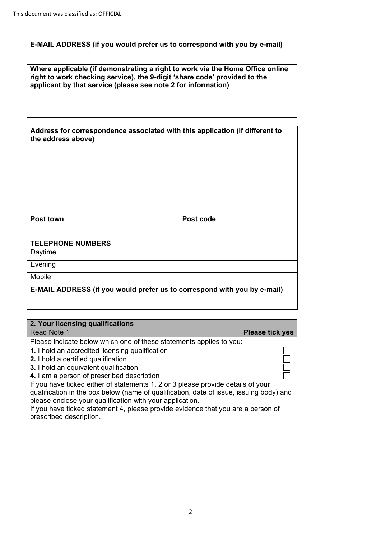| E-MAIL ADDRESS (if you would prefer us to correspond with you by e-mail)                                                                                                                                                    |
|-----------------------------------------------------------------------------------------------------------------------------------------------------------------------------------------------------------------------------|
| Where applicable (if demonstrating a right to work via the Home Office online<br>right to work checking service), the 9-digit 'share code' provided to the<br>applicant by that service (please see note 2 for information) |
|                                                                                                                                                                                                                             |
| Address for correspondence associated with this application (if different to<br>the address above)                                                                                                                          |
|                                                                                                                                                                                                                             |
|                                                                                                                                                                                                                             |
|                                                                                                                                                                                                                             |
|                                                                                                                                                                                                                             |
|                                                                                                                                                                                                                             |

| Post town                | Post code                                                                |
|--------------------------|--------------------------------------------------------------------------|
|                          |                                                                          |
| <b>TELEPHONE NUMBERS</b> |                                                                          |
| Daytime                  |                                                                          |
| Evening                  |                                                                          |
| Mobile                   |                                                                          |
|                          | E-MAIL ADDRESS (if you would prefer us to correspond with you by e-mail) |

| 2. Your licensing qualifications                                                                                                                                                                                                                                                                                                                       |  |
|--------------------------------------------------------------------------------------------------------------------------------------------------------------------------------------------------------------------------------------------------------------------------------------------------------------------------------------------------------|--|
| Read Note 1<br><b>Please tick yes</b>                                                                                                                                                                                                                                                                                                                  |  |
| Please indicate below which one of these statements applies to you:                                                                                                                                                                                                                                                                                    |  |
| 1. I hold an accredited licensing qualification                                                                                                                                                                                                                                                                                                        |  |
| <b>2.</b> I hold a certified qualification                                                                                                                                                                                                                                                                                                             |  |
| 3. I hold an equivalent qualification                                                                                                                                                                                                                                                                                                                  |  |
| 4. I am a person of prescribed description                                                                                                                                                                                                                                                                                                             |  |
| If you have ticked either of statements 1, 2 or 3 please provide details of your<br>qualification in the box below (name of qualification, date of issue, issuing body) and<br>please enclose your qualification with your application.<br>If you have ticked statement 4, please provide evidence that you are a person of<br>prescribed description. |  |
|                                                                                                                                                                                                                                                                                                                                                        |  |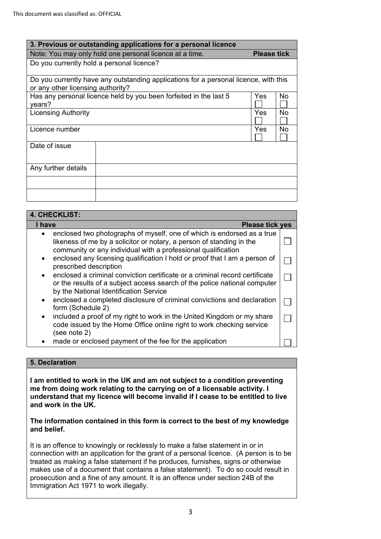| 3. Previous or outstanding applications for a personal licence |                                                                                      |     |    |  |  |
|----------------------------------------------------------------|--------------------------------------------------------------------------------------|-----|----|--|--|
|                                                                | Note: You may only hold one personal licence at a time.<br><b>Please tick</b>        |     |    |  |  |
| Do you currently hold a personal licence?                      |                                                                                      |     |    |  |  |
| or any other licensing authority?                              | Do you currently have any outstanding applications for a personal licence, with this |     |    |  |  |
| years?                                                         | Has any personal licence held by you been forfeited in the last 5                    | Yes | No |  |  |
| <b>Licensing Authority</b>                                     |                                                                                      | Yes | No |  |  |
| Licence number                                                 |                                                                                      | Yes | No |  |  |
| Date of issue                                                  |                                                                                      |     |    |  |  |
| Any further details                                            |                                                                                      |     |    |  |  |
|                                                                |                                                                                      |     |    |  |  |
|                                                                |                                                                                      |     |    |  |  |

| <b>4. CHECKLIST:</b>                                                                                                                                                                                            |  |  |
|-----------------------------------------------------------------------------------------------------------------------------------------------------------------------------------------------------------------|--|--|
| I have<br><b>Please tick yes</b>                                                                                                                                                                                |  |  |
| enclosed two photographs of myself, one of which is endorsed as a true<br>likeness of me by a solicitor or notary, a person of standing in the<br>community or any individual with a professional qualification |  |  |
| enclosed any licensing qualification I hold or proof that I am a person of<br>$\bullet$<br>prescribed description                                                                                               |  |  |
| enclosed a criminal conviction certificate or a criminal record certificate<br>or the results of a subject access search of the police national computer<br>by the National Identification Service              |  |  |
| enclosed a completed disclosure of criminal convictions and declaration<br>$\bullet$<br>form (Schedule 2)                                                                                                       |  |  |
| included a proof of my right to work in the United Kingdom or my share<br>$\bullet$<br>code issued by the Home Office online right to work checking service<br>(see note 2)                                     |  |  |
| made or enclosed payment of the fee for the application                                                                                                                                                         |  |  |

# **5. Declaration**

**I am entitled to work in the UK and am not subject to a condition preventing me from doing work relating to the carrying on of a licensable activity. I understand that my licence will become invalid if I cease to be entitled to live and work in the UK.** 

#### **The information contained in this form is correct to the best of my knowledge and belief.**

It is an offence to knowingly or recklessly to make a false statement in or in connection with an application for the grant of a personal licence. (A person is to be treated as making a false statement if he produces, furnishes, signs or otherwise makes use of a document that contains a false statement). To do so could result in prosecution and a fine of any amount. It is an offence under section 24B of the Immigration Act 1971 to work illegally.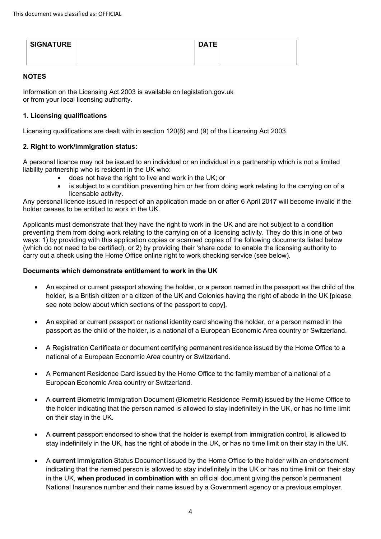| <b>SIGNATURE</b> | <b>DATE</b> |  |
|------------------|-------------|--|
|                  |             |  |

## **NOTES**

Information on the Licensing Act 2003 is available on legislation.gov.uk or from your local licensing authority.

# **1. Licensing qualifications**

Licensing qualifications are dealt with in section 120(8) and (9) of the Licensing Act 2003.

# **2. Right to work/immigration status:**

A personal licence may not be issued to an individual or an individual in a partnership which is not a limited liability partnership who is resident in the UK who:

- does not have the right to live and work in the UK; or
- is subject to a condition preventing him or her from doing work relating to the carrying on of a licensable activity.

Any personal licence issued in respect of an application made on or after 6 April 2017 will become invalid if the holder ceases to be entitled to work in the UK.

Applicants must demonstrate that they have the right to work in the UK and are not subject to a condition preventing them from doing work relating to the carrying on of a licensing activity. They do this in one of two ways: 1) by providing with this application copies or scanned copies of the following documents listed below (which do not need to be certified), or 2) by providing their 'share code' to enable the licensing authority to carry out a check using the Home Office online right to work checking service (see below).

### **Documents which demonstrate entitlement to work in the UK**

- • An expired or current passport showing the holder, or a person named in the passport as the child of the holder, is a British citizen or a citizen of the UK and Colonies having the right of abode in the UK [please see note below about which sections of the passport to copy].
- passport as the child of the holder, is a national of a European Economic Area country or Switzerland. • An expired or current passport or national identity card showing the holder, or a person named in the
- national of a European Economic Area country or Switzerland. • A Registration Certificate or document certifying permanent residence issued by the Home Office to a
- $\bullet$  European Economic Area country or Switzerland. • A Permanent Residence Card issued by the Home Office to the family member of a national of a
- $\bullet$  the holder indicating that the person named is allowed to stay indefinitely in the UK, or has no time limit on their stay in the UK. • A **current** Biometric Immigration Document (Biometric Residence Permit) issued by the Home Office to
- stay indefinitely in the UK, has the right of abode in the UK, or has no time limit on their stay in the UK. • A **current** passport endorsed to show that the holder is exempt from immigration control, is allowed to
- indicating that the named person is allowed to stay indefinitely in the UK or has no time limit on their stay in the UK, **when produced in combination with** an official document giving the person's permanent National Insurance number and their name issued by a Government agency or a previous employer. • A **current** Immigration Status Document issued by the Home Office to the holder with an endorsement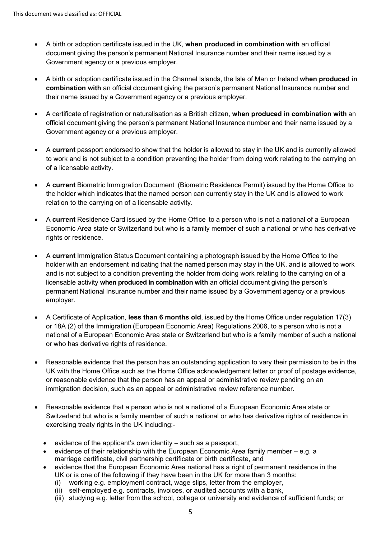- • A birth or adoption certificate issued in the UK, **when produced in combination with** an official document giving the person's permanent National Insurance number and their name issued by a Government agency or a previous employer.
- **combination with** an official document giving the person's permanent National Insurance number and their name issued by a Government agency or a previous employer. • A birth or adoption certificate issued in the Channel Islands, the Isle of Man or Ireland **when produced in**
- official document giving the person's permanent National Insurance number and their name issued by a Government agency or a previous employer. • A certificate of registration or naturalisation as a British citizen, **when produced in combination with** an
- • A **current** passport endorsed to show that the holder is allowed to stay in the UK and is currently allowed to work and is not subject to a condition preventing the holder from doing work relating to the carrying on of a licensable activity.
- the holder which indicates that the named person can currently stay in the UK and is allowed to work • A **current** Biometric Immigration Document (Biometric Residence Permit) issued by the Home Office to relation to the carrying on of a licensable activity.
- A **current** Residence Card issued by the Home Office to a person who is not a national of a European Economic Area state or Switzerland but who is a family member of such a national or who has derivative rights or residence.
- • A **current** Immigration Status Document containing a photograph issued by the Home Office to the holder with an endorsement indicating that the named person may stay in the UK, and is allowed to work licensable activity **when produced in combination with** an official document giving the person's permanent National Insurance number and their name issued by a Government agency or a previous and is not subject to a condition preventing the holder from doing work relating to the carrying on of a employer.
- or 18A (2) of the Immigration (European Economic Area) Regulations 2006, to a person who is not a national of a European Economic Area state or Switzerland but who is a family member of such a national or who has derivative rights of residence. • A Certificate of Application, **less than 6 months old**, issued by the Home Office under regulation 17(3)
- Reasonable evidence that the person has an outstanding application to vary their permission to be in the UK with the Home Office such as the Home Office acknowledgement letter or proof of postage evidence, or reasonable evidence that the person has an appeal or administrative review pending on an immigration decision, such as an appeal or administrative review reference number.
- exercising treaty rights in the UK including:- • Reasonable evidence that a person who is not a national of a European Economic Area state or Switzerland but who is a family member of such a national or who has derivative rights of residence in
	- evidence of the applicant's own identity such as a passport,
	- evidence of their relationship with the European Economic Area family member e.g. a marriage certificate, civil partnership certificate or birth certificate, and
	- evidence that the European Economic Area national has a right of permanent residence in the UK or is one of the following if they have been in the UK for more than 3 months:
		- (i) working e.g. employment contract, wage slips, letter from the employer,
		- (ii) self-employed e.g. contracts, invoices, or audited accounts with a bank,
		- (iii) studying e.g. letter from the school, college or university and evidence of sufficient funds; or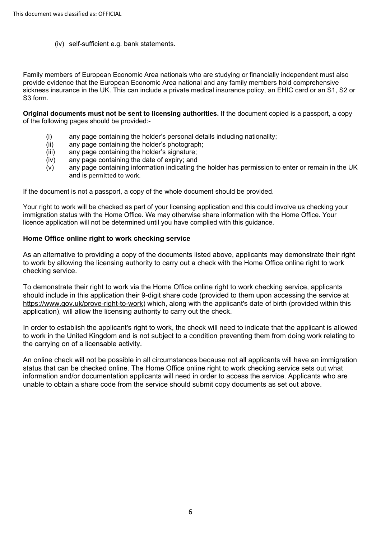(iv) self-sufficient e.g. bank statements.

Family members of European Economic Area nationals who are studying or financially independent must also provide evidence that the European Economic Area national and any family members hold comprehensive sickness insurance in the UK. This can include a private medical insurance policy, an EHIC card or an S1, S2 or S3 form.

**Original documents must not be sent to licensing authorities.** If the document copied is a passport, a copy of the following pages should be provided:-

- (i) any page containing the holder's personal details including nationality;
- (ii) any page containing the holder's photograph;
- (iii) any page containing the holder's signature;
- (iv) any page containing the date of expiry; and
- (v) any page containing information indicating the holder has permission to enter or remain in the UK and is permitted to work.

If the document is not a passport, a copy of the whole document should be provided.

Your right to work will be checked as part of your licensing application and this could involve us checking your immigration status with the Home Office. We may otherwise share information with the Home Office. Your licence application will not be determined until you have complied with this guidance.

#### **Home Office online right to work checking service**

As an alternative to providing a copy of the documents listed above, applicants may demonstrate their right to work by allowing the licensing authority to carry out a check with the Home Office online right to work checking service.

To demonstrate their right to work via the Home Office online right to work checking service, applicants should include in this application their 9-digit share code (provided to them upon accessing the service at [https://www.gov.uk/prove-right-to-work\)](https://www.gov.uk/prove-right-to-work) which, along with the applicant's date of birth (provided within this application), will allow the licensing authority to carry out the check.

In order to establish the applicant's right to work, the check will need to indicate that the applicant is allowed to work in the United Kingdom and is not subject to a condition preventing them from doing work relating to the carrying on of a licensable activity.

An online check will not be possible in all circumstances because not all applicants will have an immigration status that can be checked online. The Home Office online right to work checking service sets out what information and/or documentation applicants will need in order to access the service. Applicants who are unable to obtain a share code from the service should submit copy documents as set out above.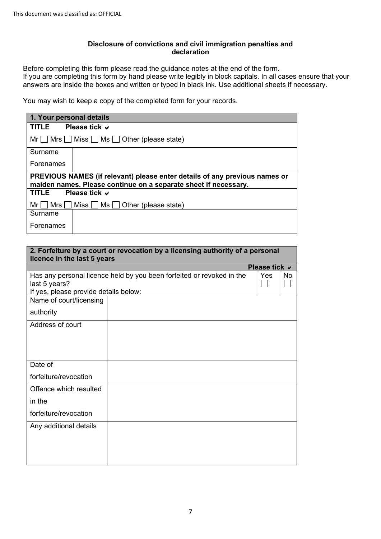#### **Disclosure of convictions and civil immigration penalties and declaration**

Before completing this form please read the guidance notes at the end of the form. If you are completing this form by hand please write legibly in block capitals. In all cases ensure that your answers are inside the boxes and written or typed in black ink. Use additional sheets if necessary.

You may wish to keep a copy of the completed form for your records.

|                                                                                                                                               | 1. Your personal details                             |  |  |  |
|-----------------------------------------------------------------------------------------------------------------------------------------------|------------------------------------------------------|--|--|--|
| TITLE                                                                                                                                         | Please tick $\vee$                                   |  |  |  |
|                                                                                                                                               | $Mr \tMrs$ Miss $Mss$ Ms $\Box$ Other (please state) |  |  |  |
| Surname                                                                                                                                       |                                                      |  |  |  |
| Forenames                                                                                                                                     |                                                      |  |  |  |
| PREVIOUS NAMES (if relevant) please enter details of any previous names or<br>maiden names. Please continue on a separate sheet if necessary. |                                                      |  |  |  |
| TITLE                                                                                                                                         | Please tick $\vee$                                   |  |  |  |
| Mrs l<br>Mr I                                                                                                                                 | Miss $\Box$ Ms $\Box$ Other (please state)           |  |  |  |
| Surname                                                                                                                                       |                                                      |  |  |  |
| Forenames                                                                                                                                     |                                                      |  |  |  |

| licence in the last 5 years                            | 2. Forfeiture by a court or revocation by a licensing authority of a personal |                    |     |
|--------------------------------------------------------|-------------------------------------------------------------------------------|--------------------|-----|
|                                                        |                                                                               | Please tick $\vee$ |     |
| last 5 years?<br>If yes, please provide details below: | Has any personal licence held by you been forfeited or revoked in the         | Yes                | No. |
| Name of court/licensing                                |                                                                               |                    |     |
| authority                                              |                                                                               |                    |     |
| Address of court                                       |                                                                               |                    |     |
|                                                        |                                                                               |                    |     |
|                                                        |                                                                               |                    |     |
| Date of                                                |                                                                               |                    |     |
| forfeiture/revocation                                  |                                                                               |                    |     |
| Offence which resulted                                 |                                                                               |                    |     |
| in the                                                 |                                                                               |                    |     |
| forfeiture/revocation                                  |                                                                               |                    |     |
| Any additional details                                 |                                                                               |                    |     |
|                                                        |                                                                               |                    |     |
|                                                        |                                                                               |                    |     |
|                                                        |                                                                               |                    |     |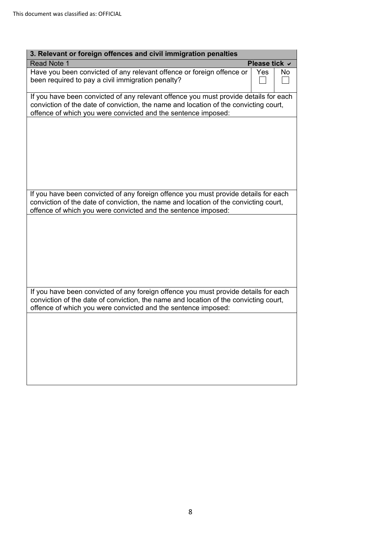| 3. Relevant or foreign offences and civil immigration penalties                                                                                                                                                                               |               |     |
|-----------------------------------------------------------------------------------------------------------------------------------------------------------------------------------------------------------------------------------------------|---------------|-----|
| <b>Read Note 1</b>                                                                                                                                                                                                                            | Please tick ∨ |     |
| Have you been convicted of any relevant offence or foreign offence or<br>been required to pay a civil immigration penalty?                                                                                                                    | Yes           | No. |
| If you have been convicted of any relevant offence you must provide details for each<br>conviction of the date of conviction, the name and location of the convicting court,<br>offence of which you were convicted and the sentence imposed: |               |     |
|                                                                                                                                                                                                                                               |               |     |
|                                                                                                                                                                                                                                               |               |     |
|                                                                                                                                                                                                                                               |               |     |
|                                                                                                                                                                                                                                               |               |     |
| If you have been convicted of any foreign offence you must provide details for each<br>conviction of the date of conviction, the name and location of the convicting court,<br>offence of which you were convicted and the sentence imposed:  |               |     |
|                                                                                                                                                                                                                                               |               |     |
|                                                                                                                                                                                                                                               |               |     |
|                                                                                                                                                                                                                                               |               |     |
|                                                                                                                                                                                                                                               |               |     |
|                                                                                                                                                                                                                                               |               |     |
| If you have been convicted of any foreign offence you must provide details for each<br>conviction of the date of conviction, the name and location of the convicting court,<br>offence of which you were convicted and the sentence imposed:  |               |     |
|                                                                                                                                                                                                                                               |               |     |
|                                                                                                                                                                                                                                               |               |     |
|                                                                                                                                                                                                                                               |               |     |
|                                                                                                                                                                                                                                               |               |     |
|                                                                                                                                                                                                                                               |               |     |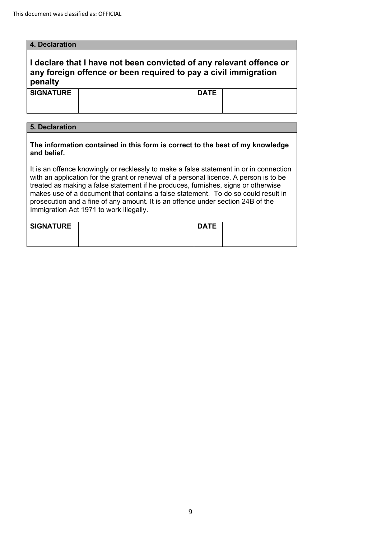| 4. Declaration                                                                                                                                                                                                                                                                                                                                                                                                                                                                          |  |             |  |  |
|-----------------------------------------------------------------------------------------------------------------------------------------------------------------------------------------------------------------------------------------------------------------------------------------------------------------------------------------------------------------------------------------------------------------------------------------------------------------------------------------|--|-------------|--|--|
| I declare that I have not been convicted of any relevant offence or<br>any foreign offence or been required to pay a civil immigration<br>penalty                                                                                                                                                                                                                                                                                                                                       |  |             |  |  |
| <b>SIGNATURE</b>                                                                                                                                                                                                                                                                                                                                                                                                                                                                        |  | <b>DATE</b> |  |  |
|                                                                                                                                                                                                                                                                                                                                                                                                                                                                                         |  |             |  |  |
|                                                                                                                                                                                                                                                                                                                                                                                                                                                                                         |  |             |  |  |
| 5. Declaration                                                                                                                                                                                                                                                                                                                                                                                                                                                                          |  |             |  |  |
| The information contained in this form is correct to the best of my knowledge<br>and belief.                                                                                                                                                                                                                                                                                                                                                                                            |  |             |  |  |
| It is an offence knowingly or recklessly to make a false statement in or in connection<br>with an application for the grant or renewal of a personal licence. A person is to be<br>treated as making a false statement if he produces, furnishes, signs or otherwise<br>makes use of a document that contains a false statement. To do so could result in<br>prosecution and a fine of any amount. It is an offence under section 24B of the<br>Immigration Act 1971 to work illegally. |  |             |  |  |

| <b>SIGNATURE</b> | <b>DATE</b> |  |
|------------------|-------------|--|
|                  |             |  |